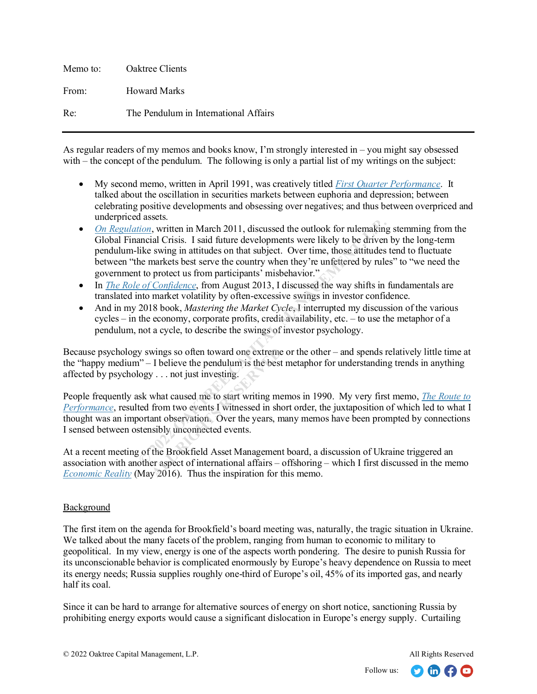| Memo to: | Oaktree Clients                       |
|----------|---------------------------------------|
| From:    | Howard Marks                          |
| Re:      | The Pendulum in International Affairs |

As regular readers of my memos and books know, I'm strongly interested in – you might say obsessed with – the concept of the pendulum. The following is only a partial list of my writings on the subject:

- My second memo, written in April 1991, was creatively titled *[First Quarter Performance](https://www.oaktreecapital.com/docs/default-source/memos/1991-04-11-first-quarter-client-performance.pdf?sfvrsn=d7bd0f65_2)*. It talked about the oscillation in securities markets between euphoria and depression; between celebrating positive developments and obsessing over negatives; and thus between overpriced and underpriced assets.
- *[On Regulation](https://www.oaktreecapital.com/docs/default-source/memos/2011-03-02-on-regulation.pdf?sfvrsn=37bb0f65_2)*, written in March 2011, discussed the outlook for rulemaking stemming from the Global Financial Crisis. I said future developments were likely to be driven by the long-term pendulum-like swing in attitudes on that subject. Over time, those attitudes tend to fluctuate between "the markets best serve the country when they're unfettered by rules" to "we need the government to protect us from participants' misbehavior." **Example 10** and the mind the studies and the minds of the Brook for the Brookholm, written in March 2011, discussed the outlook for rulenaking ancial Crisis. I said future developments were likely to be driven like swing
- In *[The Role of Confidence](https://www.oaktreecapital.com/docs/default-source/memos/2013-08-05-the-role-of-confidence.pdf?sfvrsn=7bbb0f65_2)*, from August 2013, I discussed the way shifts in fundamentals are translated into market volatility by often-excessive swings in investor confidence.
- And in my 2018 book, *Mastering the Market Cycle*, I interrupted my discussion of the various cycles – in the economy, corporate profits, credit availability, etc. – to use the metaphor of a pendulum, not a cycle, to describe the swings of investor psychology.

Because psychology swings so often toward one extreme or the other – and spends relatively little time at the "happy medium" – I believe the pendulum is the best metaphor for understanding trends in anything affected by psychology . . . not just investing.

People frequently ask what caused me to start writing memos in 1990. My very first memo, *[The Route to](https://www.oaktreecapital.com/docs/default-source/memos/1990-10-12-the-route-to-performance.pdf?sfvrsn=33bc0f65_2)  [Performance](https://www.oaktreecapital.com/docs/default-source/memos/1990-10-12-the-route-to-performance.pdf?sfvrsn=33bc0f65_2)*, resulted from two events I witnessed in short order, the juxtaposition of which led to what I thought was an important observation. Over the years, many memos have been prompted by connections I sensed between ostensibly unconnected events. wings so often toward one extreme<br>
I believe the pendulum is the best<br>
y . . . not just investing.<br>
what caused me to start writing me<br>
from two events I witnessed in shand observation. Over the years, n<br>
sibly unconnected

At a recent meeting of the Brookfield Asset Management board, a discussion of Ukraine triggered an association with another aspect of international affairs – offshoring – which I first discussed in the memo *[Economic Reality](https://www.oaktreecapital.com/docs/default-source/memos/economic-reality.pdf?sfvrsn=49bc1865_6)* (May 2016). Thus the inspiration for this memo.

# Background

The first item on the agenda for Brookfield's board meeting was, naturally, the tragic situation in Ukraine. We talked about the many facets of the problem, ranging from human to economic to military to geopolitical. In my view, energy is one of the aspects worth pondering. The desire to punish Russia for its unconscionable behavior is complicated enormously by Europe's heavy dependence on Russia to meet its energy needs; Russia supplies roughly one-third of Europe's oil, 45% of its imported gas, and nearly half its coal.

Since it can be hard to arrange for alternative sources of energy on short notice, sanctioning Russia by prohibiting energy exports would cause a significant dislocation in Europe's energy supply. Curtailing

 $\Omega$  in  $\Omega$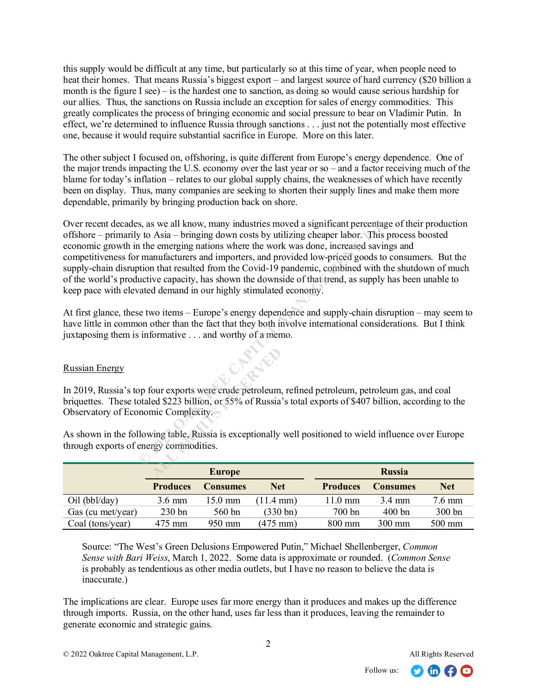this supply would be difficult at any time, but particularly so at this time of year, when people need to heat their homes. That means Russia's biggest export – and largest source of hard currency (\$20 billion a month is the figure I see) – is the hardest one to sanction, as doing so would cause serious hardship for our allies. Thus, the sanctions on Russia include an exception for sales of energy commodities. This greatly complicates the process of bringing economic and social pressure to bear on Vladimir Putin. In effect, we're determined to influence Russia through sanctions . . . just not the potentially most effective one, because it would require substantial sacrifice in Europe. More on this later.

The other subject I focused on, offshoring, is quite different from Europe's energy dependence. One of the major trends impacting the U.S. economy over the last year or so – and a factor receiving much of the blame for today's inflation – relates to our global supply chains, the weaknesses of which have recently been on display. Thus, many companies are seeking to shorten their supply lines and make them more dependable, primarily by bringing production back on shore.

Over recent decades, as we all know, many industries moved a significant percentage of their production offshore – primarily to Asia – bringing down costs by utilizing cheaper labor. This process boosted economic growth in the emerging nations where the work was done, increased savings and competitiveness for manufacturers and importers, and provided low-priced goods to consumers. But the supply-chain disruption that resulted from the Covid-19 pandemic, combined with the shutdown of much of the world's productive capacity, has shown the downside of that trend, as supply has been unable to keep pace with elevated demand in our highly stimulated economy. s, as we all know, many industries moved a significant percentage<br>to Asia – bringing down costs by utilizing cheaper labor. This pie<br>the emerging nations where the work was done, increased saving<br>the manufacturers and impo

At first glance, these two items – Europe's energy dependence and supply-chain disruption – may seem to have little in common other than the fact that they both involve international considerations. But I think juxtaposing them is informative . . . and worthy of a memo.

### Russian Energy

In 2019, Russia's top four exports were crude petroleum, refined petroleum, petroleum gas, and coal briquettes. These totaled \$223 billion, or 55% of Russia's total exports of \$407 billion, according to the Observatory of Economic Complexity. France Source Scrib Source Scrib Strategies Control Complexity.<br>
All September Strategies Complexity.<br>
All September Strategies Complexity.<br>
All September Strategies Complexity Complexity Complexity.<br>
Complexity Complexity

|                   | <b>Europe</b>    |                 |                     |                   | <b>Russia</b>    |                  |  |
|-------------------|------------------|-----------------|---------------------|-------------------|------------------|------------------|--|
|                   | <b>Produces</b>  | <b>Consumes</b> | <b>Net</b>          | <b>Produces</b>   | <b>Consumes</b>  | <b>Net</b>       |  |
| Oil (bbl/day)     | $3.6 \text{ mm}$ | 15.0 mm         | $11.4 \text{ mm}$ ) | $11.0 \text{ mm}$ | $3.4 \text{ mm}$ | $7.6 \text{ mm}$ |  |
| Gas (cu met/year) | $230$ bn         | $560$ bn        | (330 b n)           | $700 \text{ bn}$  | 400bn            | 300 bn           |  |
| Coal (tons/year)  | 475 mm           | 950 mm          | $(475 \text{ mm})$  | $800 \text{ mm}$  | $300 \text{ mm}$ | 500 mm           |  |

As shown in the following table, Russia is exceptionally well positioned to wield influence over Europe through exports of energy commodities.

Source: "The West's Green Delusions Empowered Putin," Michael Shellenberger, *Common Sense with Bari Weiss*, March 1, 2022. Some data is approximate or rounded. (*Common Sense* is probably as tendentious as other media outlets, but I have no reason to believe the data is inaccurate.)

The implications are clear. Europe uses far more energy than it produces and makes up the difference through imports. Russia, on the other hand, uses far less than it produces, leaving the remainder to generate economic and strategic gains.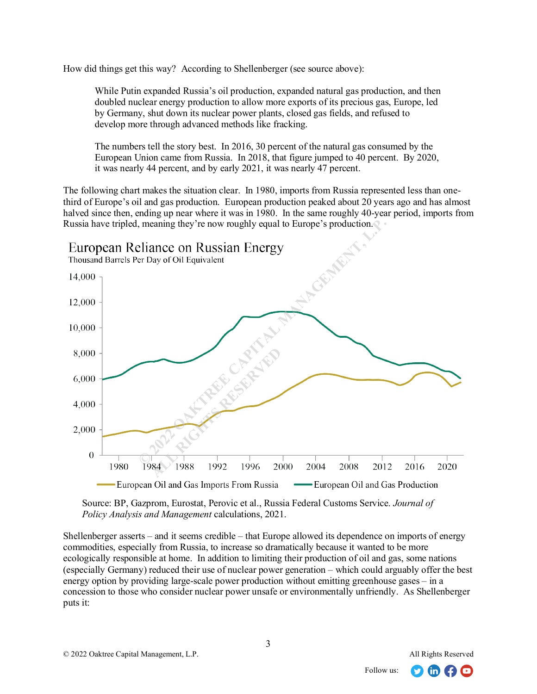How did things get this way? According to Shellenberger (see source above):

While Putin expanded Russia's oil production, expanded natural gas production, and then doubled nuclear energy production to allow more exports of its precious gas, Europe, led by Germany, shut down its nuclear power plants, closed gas fields, and refused to develop more through advanced methods like fracking.

The numbers tell the story best. In 2016, 30 percent of the natural gas consumed by the European Union came from Russia. In 2018, that figure jumped to 40 percent. By 2020, it was nearly 44 percent, and by early 2021, it was nearly 47 percent.

The following chart makes the situation clear. In 1980, imports from Russia represented less than onethird of Europe's oil and gas production. European production peaked about 20 years ago and has almost halved since then, ending up near where it was in 1980. In the same roughly 40-year period, imports from Russia have tripled, meaning they're now roughly equal to Europe's production.



Source: BP, Gazprom, Eurostat, Perovic et al., Russia Federal Customs Service. *Journal of Policy Analysis and Management* calculations, 2021.

Shellenberger asserts – and it seems credible – that Europe allowed its dependence on imports of energy commodities, especially from Russia, to increase so dramatically because it wanted to be more ecologically responsible at home. In addition to limiting their production of oil and gas, some nations (especially Germany) reduced their use of nuclear power generation – which could arguably offer the best energy option by providing large-scale power production without emitting greenhouse gases – in a concession to those who consider nuclear power unsafe or environmentally unfriendly. As Shellenberger puts it:

in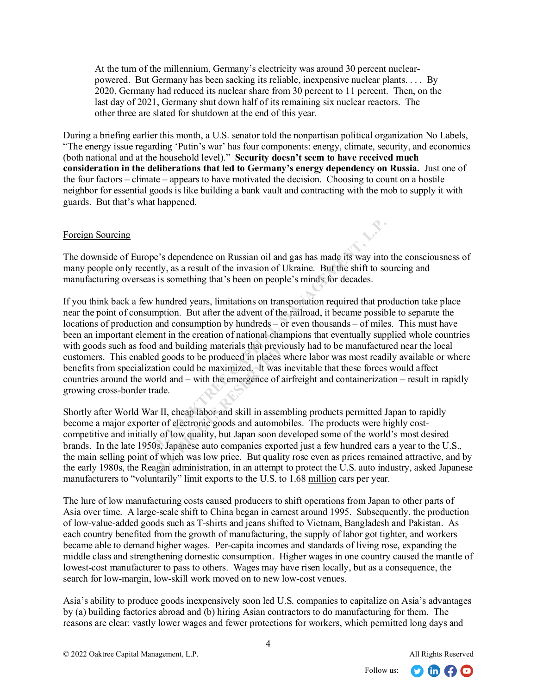At the turn of the millennium, Germany's electricity was around 30 percent nuclearpowered. But Germany has been sacking its reliable, inexpensive nuclear plants. . . . By 2020, Germany had reduced its nuclear share from 30 percent to 11 percent. Then, on the last day of 2021, Germany shut down half of its remaining six nuclear reactors. The other three are slated for shutdown at the end of this year.

During a briefing earlier this month, a U.S. senator told the nonpartisan political organization No Labels, "The energy issue regarding 'Putin's war' has four components: energy, climate, security, and economics (both national and at the household level)." **Security doesn't seem to have received much consideration in the deliberations that led to Germany's energy dependency on Russia.** Just one of the four factors – climate – appears to have motivated the decision. Choosing to count on a hostile neighbor for essential goods is like building a bank vault and contracting with the mob to supply it with guards. But that's what happened.

### Foreign Sourcing

The downside of Europe's dependence on Russian oil and gas has made its way into the consciousness of many people only recently, as a result of the invasion of Ukraine. But the shift to sourcing and manufacturing overseas is something that's been on people's minds for decades.

If you think back a few hundred years, limitations on transportation required that production take place near the point of consumption. But after the advent of the railroad, it became possible to separate the locations of production and consumption by hundreds – or even thousands – of miles. This must have been an important element in the creation of national champions that eventually supplied whole countries with goods such as food and building materials that previously had to be manufactured near the local customers. This enabled goods to be produced in places where labor was most readily available or where benefits from specialization could be maximized. It was inevitable that these forces would affect countries around the world and – with the emergence of airfreight and containerization – result in rapidly growing cross-border trade. urope's dependence on Russian oil and gas has made its way into tecently, as a result of the invasion of Ukraine. But the shift to source<br>seas is something that's been on people's minds for decades.<br>few hundred years, limi

Shortly after World War II, cheap labor and skill in assembling products permitted Japan to rapidly become a major exporter of electronic goods and automobiles. The products were highly costcompetitive and initially of low quality, but Japan soon developed some of the world's most desired brands. In the late 1950s, Japanese auto companies exported just a few hundred cars a year to the U.S., the main selling point of which was low price. But quality rose even as prices remained attractive, and by the early 1980s, the Reagan administration, in an attempt to protect the U.S. auto industry, asked Japanese manufacturers to "voluntarily" limit exports to the U.S. to 1.68 million cars per year. all bunding materials that previously and bunding materials that previously ed goods to be produced in places aation could be maximized. It was vorid and – with the emergence of rade.<br>
ar II, cheap labor and skill in asser

The lure of low manufacturing costs caused producers to shift operations from Japan to other parts of Asia over time. A large-scale shift to China began in earnest around 1995. Subsequently, the production of low-value-added goods such as T-shirts and jeans shifted to Vietnam, Bangladesh and Pakistan. As each country benefited from the growth of manufacturing, the supply of labor got tighter, and workers became able to demand higher wages. Per-capita incomes and standards of living rose, expanding the middle class and strengthening domestic consumption. Higher wages in one country caused the mantle of lowest-cost manufacturer to pass to others. Wages may have risen locally, but as a consequence, the search for low-margin, low-skill work moved on to new low-cost venues.

Asia's ability to produce goods inexpensively soon led U.S. companies to capitalize on Asia's advantages by (a) building factories abroad and (b) hiring Asian contractors to do manufacturing for them. The reasons are clear: vastly lower wages and fewer protections for workers, which permitted long days and

 $\Omega$  in  $\Omega$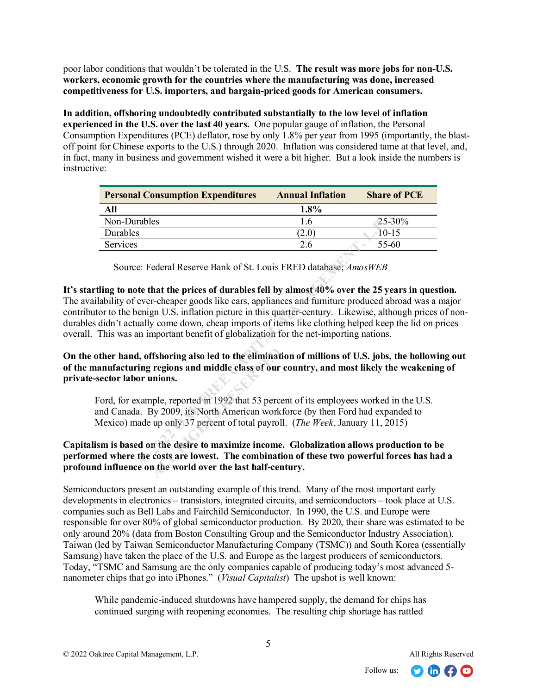poor labor conditions that wouldn't be tolerated in the U.S. **The result was more jobs for non-U.S. workers, economic growth for the countries where the manufacturing was done, increased competitiveness for U.S. importers, and bargain-priced goods for American consumers.**

**In addition, offshoring undoubtedly contributed substantially to the low level of inflation experienced in the U.S. over the last 40 years.** One popular gauge of inflation, the Personal Consumption Expenditures (PCE) deflator, rose by only 1.8% per year from 1995 (importantly, the blastoff point for Chinese exports to the U.S.) through 2020. Inflation was considered tame at that level, and, in fact, many in business and government wished it were a bit higher. But a look inside the numbers is instructive:

| <b>Personal Consumption Expenditures</b> | <b>Annual Inflation</b> | <b>Share of PCE</b> |
|------------------------------------------|-------------------------|---------------------|
| All                                      | 1.8%                    |                     |
| Non-Durables                             | 1.6                     | $25 - 30%$          |
| Durables                                 | (2.0)                   | $10-15$             |
| Services                                 | 2.6                     | 55-60               |

Source: Federal Reserve Bank of St. Louis FRED database; *AmosWEB*

**It's startling to note that the prices of durables fell by almost 40% over the 25 years in question.**  The availability of ever-cheaper goods like cars, appliances and furniture produced abroad was a major contributor to the benign U.S. inflation picture in this quarter-century. Likewise, although prices of nondurables didn't actually come down, cheap imports of items like clothing helped keep the lid on prices overall. This was an important benefit of globalization for the net-importing nations. **Examples**<br> **Example 10**<br> **Example 10**<br> **Example 10**<br> **Example 10**<br> **Example 10**<br> **Example 10**<br> **Example 20**<br> **Example 20**<br> **Example 20**<br> **Example 20**<br> **Example 20**<br> **Example 20**<br> **Example 20**<br> **Example 20**<br> **Example 20**<br>

**On the other hand, offshoring also led to the elimination of millions of U.S. jobs, the hollowing out of the manufacturing regions and middle class of our country, and most likely the weakening of private-sector labor unions.** 

Ford, for example, reported in 1992 that 53 percent of its employees worked in the U.S. and Canada. By 2009, its North American workforce (by then Ford had expanded to Mexico) made up only 37 percent of total payroll. (*The Week*, January 11, 2015) **ALL RUGGEST CONCRETE:**<br> **ALL REGIONS AND THE RIGHTS RESP. THE RESP. THE RIGHTS RESP. 2009, its North American work<br>
up only 37 percent of total payrol<br>
<b>ALL REGIONS REGIONS REGIONS**<br> **ALL REGIONS REGIONS REGIONS:**<br> **ALL R** 

## **Capitalism is based on the desire to maximize income. Globalization allows production to be performed where the costs are lowest. The combination of these two powerful forces has had a profound influence on the world over the last half-century.**

Semiconductors present an outstanding example of this trend. Many of the most important early developments in electronics – transistors, integrated circuits, and semiconductors – took place at U.S. companies such as Bell Labs and Fairchild Semiconductor. In 1990, the U.S. and Europe were responsible for over 80% of global semiconductor production. By 2020, their share was estimated to be only around 20% (data from Boston Consulting Group and the Semiconductor Industry Association). Taiwan (led by Taiwan Semiconductor Manufacturing Company (TSMC)) and South Korea (essentially Samsung) have taken the place of the U.S. and Europe as the largest producers of semiconductors. Today, "TSMC and Samsung are the only companies capable of producing today's most advanced 5 nanometer chips that go into iPhones." (*Visual Capitalist*) The upshot is well known:

While pandemic-induced shutdowns have hampered supply, the demand for chips has continued surging with reopening economies. The resulting chip shortage has rattled

 $\Omega$  m $\Omega$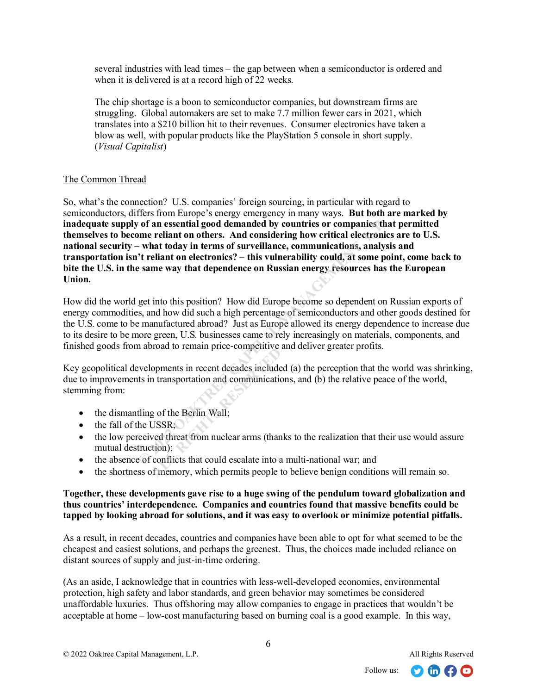several industries with lead times – the gap between when a semiconductor is ordered and when it is delivered is at a record high of 22 weeks.

The chip shortage is a boon to semiconductor companies, but downstream firms are struggling. Global automakers are set to make 7.7 million fewer cars in 2021, which translates into a \$210 billion hit to their revenues. Consumer electronics have taken a blow as well, with popular products like the PlayStation 5 console in short supply. (*Visual Capitalist*)

# The Common Thread

So, what's the connection? U.S. companies' foreign sourcing, in particular with regard to semiconductors, differs from Europe's energy emergency in many ways. **But both are marked by inadequate supply of an essential good demanded by countries or companies that permitted themselves to become reliant on others. And considering how critical electronics are to U.S. national security – what today in terms of surveillance, communications, analysis and transportation isn't reliant on electronics? – this vulnerability could, at some point, come back to bite the U.S. in the same way that dependence on Russian energy resources has the European Union.** of an essential good demanded by countries or companies tha<br>
what today in terms of surveillance, communications, analysi<br>
"theliant on electronics? – this vulnerability could, at some point<br>
"theliant on electronics? – th

How did the world get into this position? How did Europe become so dependent on Russian exports of energy commodities, and how did such a high percentage of semiconductors and other goods destined for the U.S. come to be manufactured abroad? Just as Europe allowed its energy dependence to increase due to its desire to be more green, U.S. businesses came to rely increasingly on materials, components, and finished goods from abroad to remain price-competitive and deliver greater profits.

Key geopolitical developments in recent decades included (a) the perception that the world was shrinking, due to improvements in transportation and communications, and (b) the relative peace of the world, stemming from: **ACCOMPTED**<br> **ALL RESERVED**<br> **ALL RESERVED**<br> **ALL RESERVED BY:**<br> **ALL RESERVED BY:**<br> **ALL RESERVED BY:**<br> **ALL RESERVED BY:**<br> **ALL RESERVED BY:**<br> **ALL RESERVED BY:**<br> **ALL RESERVED BY:**<br> **ALL RESERVED BY:**<br> **ALL RESERVED BY:** 

- the dismantling of the Berlin Wall;
- $\bullet$  the fall of the USSR;
- the low perceived threat from nuclear arms (thanks to the realization that their use would assure mutual destruction);
- the absence of conflicts that could escalate into a multi-national war; and
- the shortness of memory, which permits people to believe benign conditions will remain so.

## **Together, these developments gave rise to a huge swing of the pendulum toward globalization and thus countries' interdependence. Companies and countries found that massive benefits could be tapped by looking abroad for solutions, and it was easy to overlook or minimize potential pitfalls.**

As a result, in recent decades, countries and companies have been able to opt for what seemed to be the cheapest and easiest solutions, and perhaps the greenest. Thus, the choices made included reliance on distant sources of supply and just-in-time ordering.

(As an aside, I acknowledge that in countries with less-well-developed economies, environmental protection, high safety and labor standards, and green behavior may sometimes be considered unaffordable luxuries. Thus offshoring may allow companies to engage in practices that wouldn't be acceptable at home – low-cost manufacturing based on burning coal is a good example. In this way,

 $\Omega$  in  $\Omega$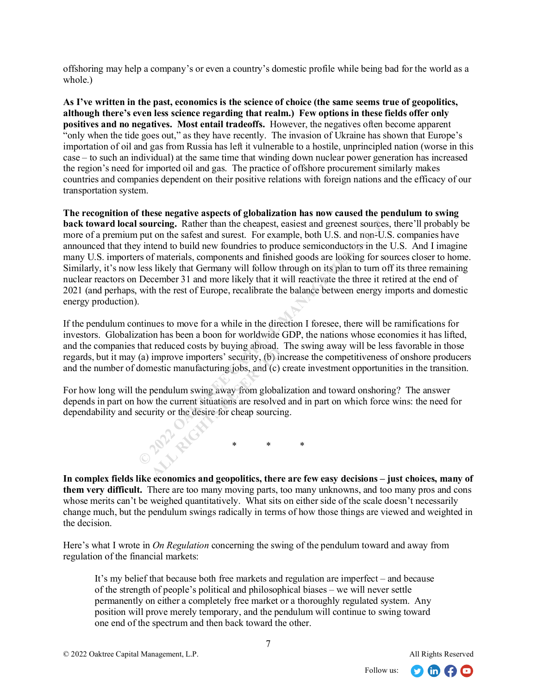offshoring may help a company's or even a country's domestic profile while being bad for the world as a whole.)

**As I've written in the past, economics is the science of choice (the same seems true of geopolitics, although there's even less science regarding that realm.) Few options in these fields offer only positives and no negatives. Most entail tradeoffs.** However, the negatives often become apparent "only when the tide goes out," as they have recently. The invasion of Ukraine has shown that Europe's importation of oil and gas from Russia has left it vulnerable to a hostile, unprincipled nation (worse in this case – to such an individual) at the same time that winding down nuclear power generation has increased the region's need for imported oil and gas. The practice of offshore procurement similarly makes countries and companies dependent on their positive relations with foreign nations and the efficacy of our transportation system.

**The recognition of these negative aspects of globalization has now caused the pendulum to swing back toward local sourcing.** Rather than the cheapest, easiest and greenest sources, there'll probably be more of a premium put on the safest and surest. For example, both U.S. and non-U.S. companies have announced that they intend to build new foundries to produce semiconductors in the U.S. And I imagine many U.S. importers of materials, components and finished goods are looking for sources closer to home. Similarly, it's now less likely that Germany will follow through on its plan to turn off its three remaining nuclear reactors on December 31 and more likely that it will reactivate the three it retired at the end of 2021 (and perhaps, with the rest of Europe, recalibrate the balance between energy imports and domestic energy production). **Sourcing.** Rather than the cheapest, easiest and greenest sources, put on the safest and surest. For example, both U.S. and non-U.S intent to build new foundries to produce semiconductors in the U.S. and smortles or produ

If the pendulum continues to move for a while in the direction I foresee, there will be ramifications for investors. Globalization has been a boon for worldwide GDP, the nations whose economies it has lifted, and the companies that reduced costs by buying abroad. The swing away will be less favorable in those regards, but it may (a) improve importers' security, (b) increase the competitiveness of onshore producers and the number of domestic manufacturing jobs, and (c) create investment opportunities in the transition.

For how long will the pendulum swing away from globalization and toward onshoring? The answer depends in part on how the current situations are resolved and in part on which force wins: the need for dependability and security or the desire for cheap sourcing.

\* \* \*

**In complex fields like economics and geopolitics, there are few easy decisions – just choices, many of them very difficult.** There are too many moving parts, too many unknowns, and too many pros and cons whose merits can't be weighed quantitatively. What sits on either side of the scale doesn't necessarily change much, but the pendulum swings radically in terms of how those things are viewed and weighted in the decision.

Here's what I wrote in *On Regulation* concerning the swing of the pendulum toward and away from regulation of the financial markets:

It's my belief that because both free markets and regulation are imperfect – and because of the strength of people's political and philosophical biases – we will never settle permanently on either a completely free market or a thoroughly regulated system. Any position will prove merely temporary, and the pendulum will continue to swing toward one end of the spectrum and then back toward the other.

**APP** RIGHT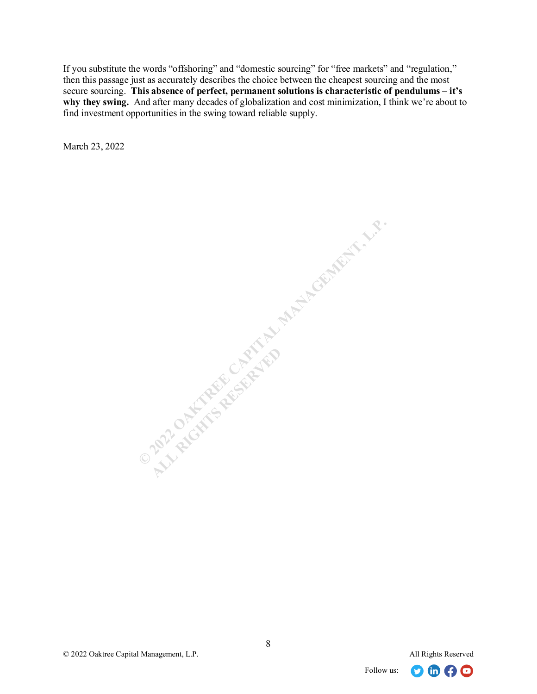If you substitute the words "offshoring" and "domestic sourcing" for "free markets" and "regulation," then this passage just as accurately describes the choice between the cheapest sourcing and the most secure sourcing. **This absence of perfect, permanent solutions is characteristic of pendulums – it's why they swing.** And after many decades of globalization and cost minimization, I think we're about to find investment opportunities in the swing toward reliable supply.

March 23, 2022

O 2022 OF THE REGISTER OF PARTICULAR MANAGEMent, L.P. **ALL RESERVED** 



8